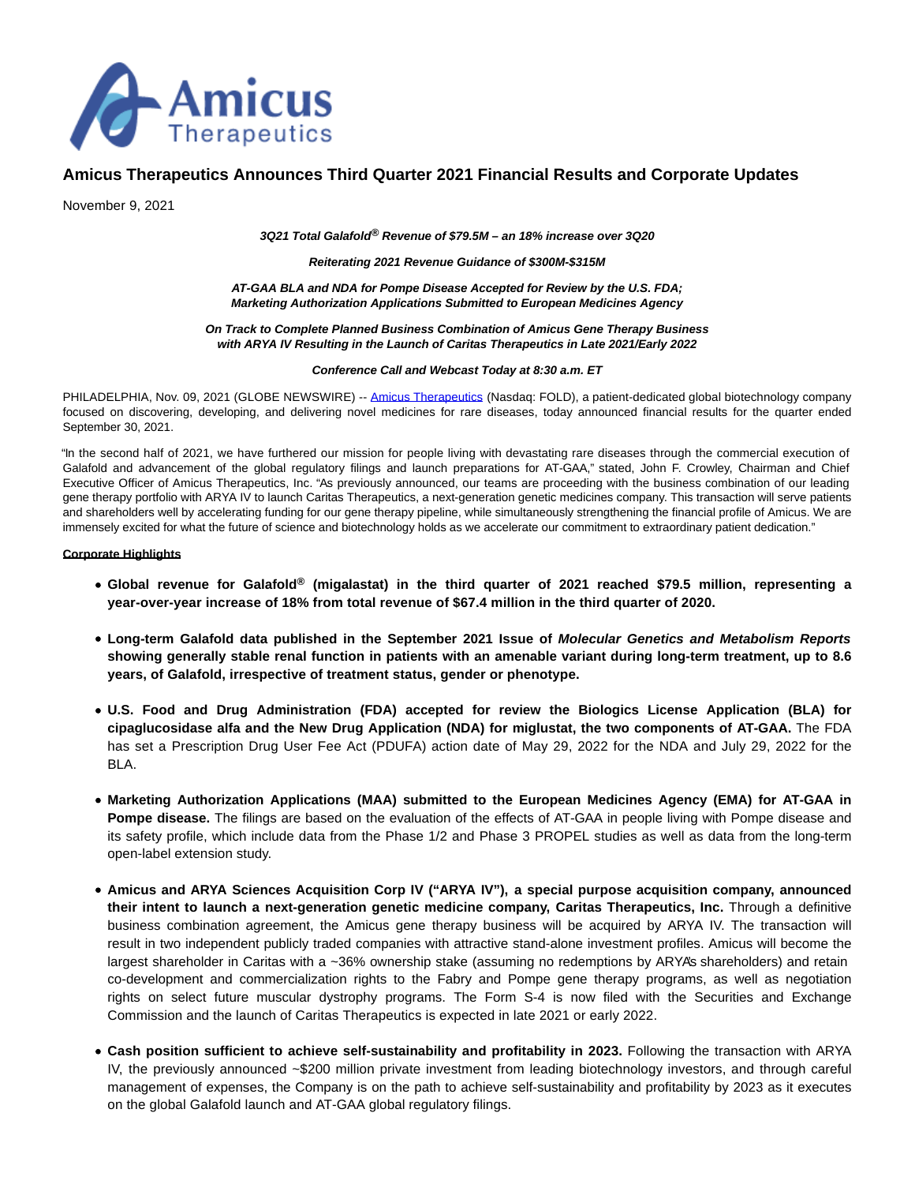

# **Amicus Therapeutics Announces Third Quarter 2021 Financial Results and Corporate Updates**

November 9, 2021

#### **3Q21 Total Galafold® Revenue of \$79.5M – an 18% increase over 3Q20**

### **Reiterating 2021 Revenue Guidance of \$300M-\$315M**

### **AT-GAA BLA and NDA for Pompe Disease Accepted for Review by the U.S. FDA; Marketing Authorization Applications Submitted to European Medicines Agency**

#### **On Track to Complete Planned Business Combination of Amicus Gene Therapy Business with ARYA IV Resulting in the Launch of Caritas Therapeutics in Late 2021/Early 2022**

#### **Conference Call and Webcast Today at 8:30 a.m. ET**

PHILADELPHIA, Nov. 09, 2021 (GLOBE NEWSWIRE) -- [Amicus Therapeutics \(](https://www.globenewswire.com/Tracker?data=ANAY025cTAGTUOyzSlmfn7pUppMqbN9fFtIf8LJ6IhbJ7O2WZ6-NAHQufqgi9XWnylZjOkiNxkugKCr0wXcsDnHuLjRMWxE8NdDWpAkybPA=)Nasdaq: FOLD), a patient-dedicated global biotechnology company focused on discovering, developing, and delivering novel medicines for rare diseases, today announced financial results for the quarter ended September 30, 2021.

"In the second half of 2021, we have furthered our mission for people living with devastating rare diseases through the commercial execution of Galafold and advancement of the global regulatory filings and launch preparations for AT-GAA," stated, John F. Crowley, Chairman and Chief Executive Officer of Amicus Therapeutics, Inc. "As previously announced, our teams are proceeding with the business combination of our leading gene therapy portfolio with ARYA IV to launch Caritas Therapeutics, a next-generation genetic medicines company. This transaction will serve patients and shareholders well by accelerating funding for our gene therapy pipeline, while simultaneously strengthening the financial profile of Amicus. We are immensely excited for what the future of science and biotechnology holds as we accelerate our commitment to extraordinary patient dedication."

#### **Corporate Highlights**

- **Global revenue for Galafold® (migalastat) in the third quarter of 2021 reached \$79.5 million, representing a year-over-year increase of 18% from total revenue of \$67.4 million in the third quarter of 2020.**
- **Long-term Galafold data published in the September 2021 Issue of Molecular Genetics and Metabolism Reports showing generally stable renal function in patients with an amenable variant during long-term treatment, up to 8.6 years, of Galafold, irrespective of treatment status, gender or phenotype.**
- **U.S. Food and Drug Administration (FDA) accepted for review the Biologics License Application (BLA) for cipaglucosidase alfa and the New Drug Application (NDA) for miglustat, the two components of AT-GAA.** The FDA has set a Prescription Drug User Fee Act (PDUFA) action date of May 29, 2022 for the NDA and July 29, 2022 for the BLA.
- **Marketing Authorization Applications (MAA) submitted to the European Medicines Agency (EMA) for AT-GAA in Pompe disease.** The filings are based on the evaluation of the effects of AT-GAA in people living with Pompe disease and its safety profile, which include data from the Phase 1/2 and Phase 3 PROPEL studies as well as data from the long-term open-label extension study.
- **Amicus and ARYA Sciences Acquisition Corp IV ("ARYA IV"), a special purpose acquisition company, announced their intent to launch a next-generation genetic medicine company, Caritas Therapeutics, Inc.** Through a definitive business combination agreement, the Amicus gene therapy business will be acquired by ARYA IV. The transaction will result in two independent publicly traded companies with attractive stand-alone investment profiles. Amicus will become the largest shareholder in Caritas with a ~36% ownership stake (assuming no redemptions by ARYA's shareholders) and retain co-development and commercialization rights to the Fabry and Pompe gene therapy programs, as well as negotiation rights on select future muscular dystrophy programs. The Form S-4 is now filed with the Securities and Exchange Commission and the launch of Caritas Therapeutics is expected in late 2021 or early 2022.
- **Cash position sufficient to achieve self-sustainability and profitability in 2023.** Following the transaction with ARYA IV, the previously announced ~\$200 million private investment from leading biotechnology investors, and through careful management of expenses, the Company is on the path to achieve self-sustainability and profitability by 2023 as it executes on the global Galafold launch and AT-GAA global regulatory filings.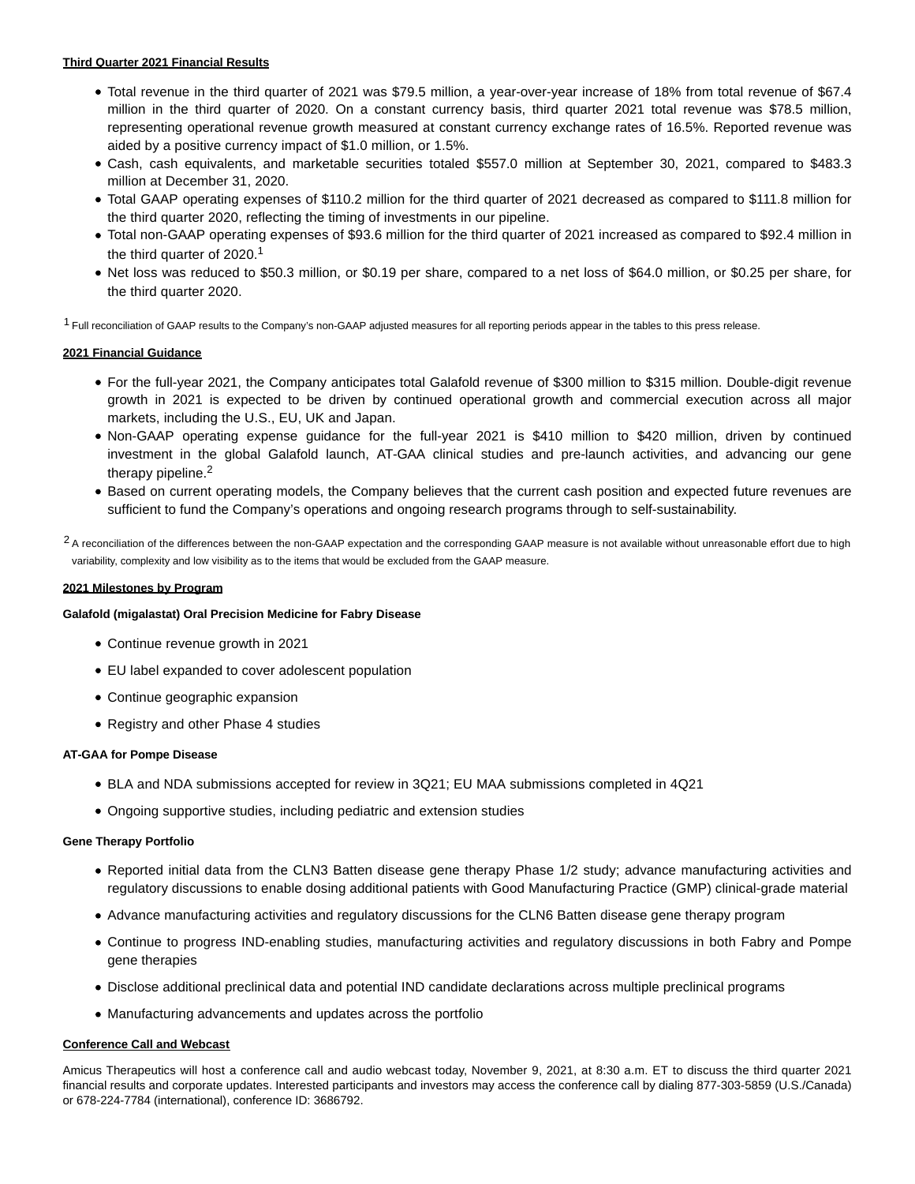## **Third Quarter 2021 Financial Results**

- Total revenue in the third quarter of 2021 was \$79.5 million, a year-over-year increase of 18% from total revenue of \$67.4 million in the third quarter of 2020. On a constant currency basis, third quarter 2021 total revenue was \$78.5 million, representing operational revenue growth measured at constant currency exchange rates of 16.5%. Reported revenue was aided by a positive currency impact of \$1.0 million, or 1.5%.
- Cash, cash equivalents, and marketable securities totaled \$557.0 million at September 30, 2021, compared to \$483.3 million at December 31, 2020.
- Total GAAP operating expenses of \$110.2 million for the third quarter of 2021 decreased as compared to \$111.8 million for the third quarter 2020, reflecting the timing of investments in our pipeline.
- Total non-GAAP operating expenses of \$93.6 million for the third quarter of 2021 increased as compared to \$92.4 million in the third quarter of 2020.<sup>1</sup>
- Net loss was reduced to \$50.3 million, or \$0.19 per share, compared to a net loss of \$64.0 million, or \$0.25 per share, for the third quarter 2020.

<sup>1</sup> Full reconciliation of GAAP results to the Company's non-GAAP adjusted measures for all reporting periods appear in the tables to this press release.

## **2021 Financial Guidance**

- For the full-year 2021, the Company anticipates total Galafold revenue of \$300 million to \$315 million. Double-digit revenue growth in 2021 is expected to be driven by continued operational growth and commercial execution across all major markets, including the U.S., EU, UK and Japan.
- Non-GAAP operating expense guidance for the full-year 2021 is \$410 million to \$420 million, driven by continued investment in the global Galafold launch, AT-GAA clinical studies and pre-launch activities, and advancing our gene therapy pipeline.<sup>2</sup>
- Based on current operating models, the Company believes that the current cash position and expected future revenues are sufficient to fund the Company's operations and ongoing research programs through to self-sustainability.
- $2$  A reconciliation of the differences between the non-GAAP expectation and the corresponding GAAP measure is not available without unreasonable effort due to high variability, complexity and low visibility as to the items that would be excluded from the GAAP measure.

## **2021 Milestones by Program**

## **Galafold (migalastat) Oral Precision Medicine for Fabry Disease**

- Continue revenue growth in 2021
- EU label expanded to cover adolescent population
- Continue geographic expansion
- Registry and other Phase 4 studies

## **AT-GAA for Pompe Disease**

- BLA and NDA submissions accepted for review in 3Q21; EU MAA submissions completed in 4Q21
- Ongoing supportive studies, including pediatric and extension studies

## **Gene Therapy Portfolio**

- Reported initial data from the CLN3 Batten disease gene therapy Phase 1/2 study; advance manufacturing activities and regulatory discussions to enable dosing additional patients with Good Manufacturing Practice (GMP) clinical-grade material
- Advance manufacturing activities and regulatory discussions for the CLN6 Batten disease gene therapy program
- Continue to progress IND-enabling studies, manufacturing activities and regulatory discussions in both Fabry and Pompe gene therapies
- Disclose additional preclinical data and potential IND candidate declarations across multiple preclinical programs
- Manufacturing advancements and updates across the portfolio

## **Conference Call and Webcast**

Amicus Therapeutics will host a conference call and audio webcast today, November 9, 2021, at 8:30 a.m. ET to discuss the third quarter 2021 financial results and corporate updates. Interested participants and investors may access the conference call by dialing 877-303-5859 (U.S./Canada) or 678-224-7784 (international), conference ID: 3686792.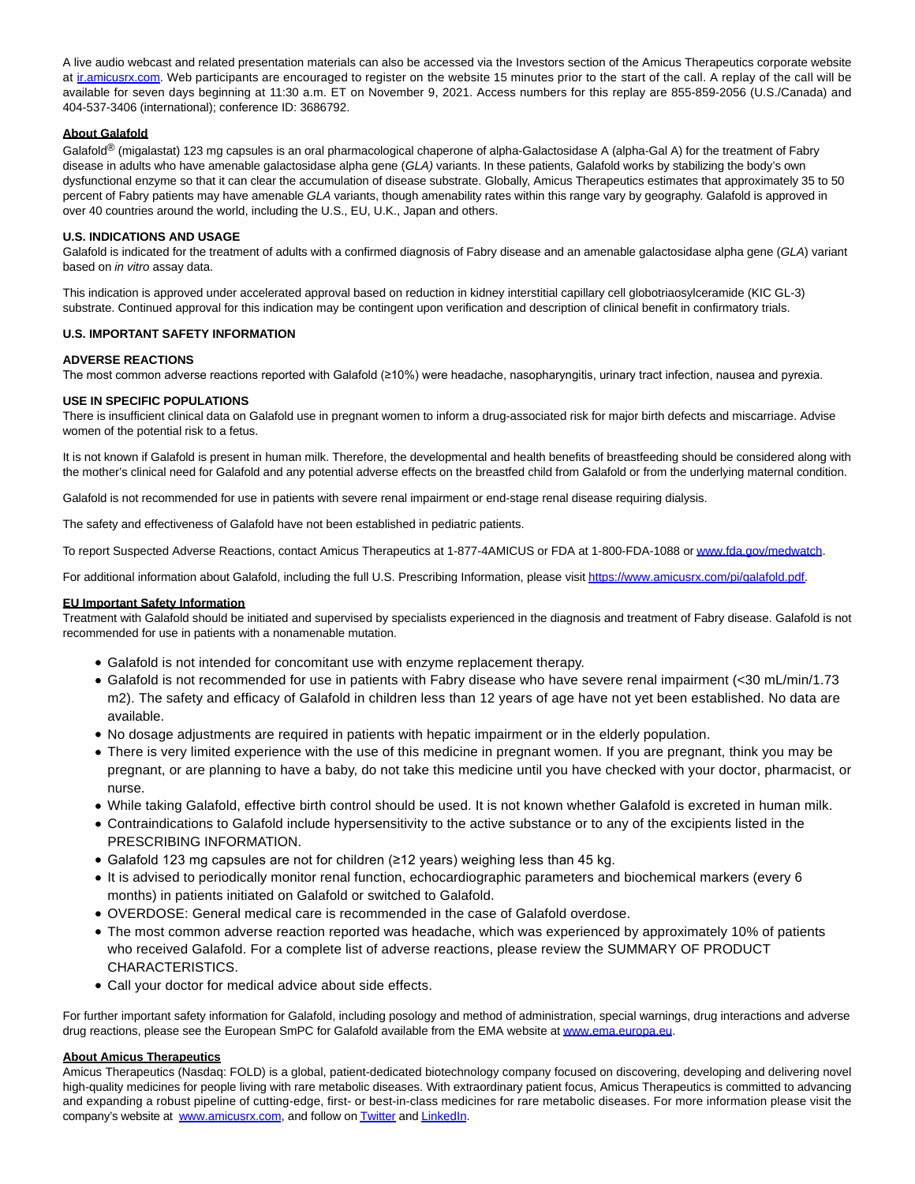A live audio webcast and related presentation materials can also be accessed via the Investors section of the Amicus Therapeutics corporate website at interact interacts are encouraged to register on the website 15 minutes prior to the start of the call. A replay of the call will be available for seven days beginning at 11:30 a.m. ET on November 9, 2021. Access numbers for this replay are 855-859-2056 (U.S./Canada) and 404-537-3406 (international); conference ID: 3686792.

## **About Galafold**

Galafold<sup>®</sup> (migalastat) 123 mg capsules is an oral pharmacological chaperone of alpha-Galactosidase A (alpha-Gal A) for the treatment of Fabry disease in adults who have amenable galactosidase alpha gene (GLA) variants. In these patients, Galafold works by stabilizing the body's own dysfunctional enzyme so that it can clear the accumulation of disease substrate. Globally, Amicus Therapeutics estimates that approximately 35 to 50 percent of Fabry patients may have amenable GLA variants, though amenability rates within this range vary by geography. Galafold is approved in over 40 countries around the world, including the U.S., EU, U.K., Japan and others.

## **U.S. INDICATIONS AND USAGE**

Galafold is indicated for the treatment of adults with a confirmed diagnosis of Fabry disease and an amenable galactosidase alpha gene (GLA) variant based on in vitro assay data.

This indication is approved under accelerated approval based on reduction in kidney interstitial capillary cell globotriaosylceramide (KIC GL-3) substrate. Continued approval for this indication may be contingent upon verification and description of clinical benefit in confirmatory trials.

## **U.S. IMPORTANT SAFETY INFORMATION**

### **ADVERSE REACTIONS**

The most common adverse reactions reported with Galafold (≥10%) were headache, nasopharyngitis, urinary tract infection, nausea and pyrexia.

#### **USE IN SPECIFIC POPULATIONS**

There is insufficient clinical data on Galafold use in pregnant women to inform a drug-associated risk for major birth defects and miscarriage. Advise women of the potential risk to a fetus.

It is not known if Galafold is present in human milk. Therefore, the developmental and health benefits of breastfeeding should be considered along with the mother's clinical need for Galafold and any potential adverse effects on the breastfed child from Galafold or from the underlying maternal condition.

Galafold is not recommended for use in patients with severe renal impairment or end-stage renal disease requiring dialysis.

The safety and effectiveness of Galafold have not been established in pediatric patients.

To report Suspected Adverse Reactions, contact Amicus Therapeutics at 1-877-4AMICUS or FDA at 1-800-FDA-1088 o[r www.fda.gov/medwatch.](https://www.globenewswire.com/Tracker?data=SHLL42EMOuC0j0nghvPszdG9TUU4uHB3ICdss8QQgxmNhLaVD5kEkMQqpw07aLLsHTXut8CTUUw-pz5K4CHU1zr2zWPvkWBbmVJPhemwjUA=)

For additional information about Galafold, including the full U.S. Prescribing Information, please visi[t https://www.amicusrx.com/pi/galafold.pdf.](https://www.globenewswire.com/Tracker?data=5BvmCfuzEBUESTSHRNZZUzN7VuFD2poM3PsGqciUMYUmxiEf-6CRg2JzwRpA1x8KbJW-9s0QDKDVvgDSdBrQf2WThkY48dvv7vaaBMcb0m5WnBtVZMhkX0UYKoH7bf7vPRnovKgL-Xdakvy13jp6YQ==)

#### **EU Important Safety Information**

Treatment with Galafold should be initiated and supervised by specialists experienced in the diagnosis and treatment of Fabry disease. Galafold is not recommended for use in patients with a nonamenable mutation.

- Galafold is not intended for concomitant use with enzyme replacement therapy.
- Galafold is not recommended for use in patients with Fabry disease who have severe renal impairment (<30 mL/min/1.73 m2). The safety and efficacy of Galafold in children less than 12 years of age have not yet been established. No data are available.
- No dosage adjustments are required in patients with hepatic impairment or in the elderly population.
- There is very limited experience with the use of this medicine in pregnant women. If you are pregnant, think you may be pregnant, or are planning to have a baby, do not take this medicine until you have checked with your doctor, pharmacist, or nurse.
- While taking Galafold, effective birth control should be used. It is not known whether Galafold is excreted in human milk.
- Contraindications to Galafold include hypersensitivity to the active substance or to any of the excipients listed in the PRESCRIBING INFORMATION.
- Galafold 123 mg capsules are not for children (≥12 years) weighing less than 45 kg.
- It is advised to periodically monitor renal function, echocardiographic parameters and biochemical markers (every 6 months) in patients initiated on Galafold or switched to Galafold.
- OVERDOSE: General medical care is recommended in the case of Galafold overdose.
- The most common adverse reaction reported was headache, which was experienced by approximately 10% of patients who received Galafold. For a complete list of adverse reactions, please review the SUMMARY OF PRODUCT CHARACTERISTICS.
- Call your doctor for medical advice about side effects.

For further important safety information for Galafold, including posology and method of administration, special warnings, drug interactions and adverse drug reactions, please see the European SmPC for Galafold available from the EMA website a[t www.ema.europa.eu.](https://www.globenewswire.com/Tracker?data=hMZ83KWCl92gz4iu7ZStuBUndQaITmFuVoXUX3-wSCMO8atKHq_oBoZ-xO3H_8ektLcJHx8JKTu6vWbMjCR4eg==)

#### **About Amicus Therapeutics**

Amicus Therapeutics (Nasdaq: FOLD) is a global, patient-dedicated biotechnology company focused on discovering, developing and delivering novel high-quality medicines for people living with rare metabolic diseases. With extraordinary patient focus, Amicus Therapeutics is committed to advancing and expanding a robust pipeline of cutting-edge, first- or best-in-class medicines for rare metabolic diseases. For more information please visit the company's website at [www.amicusrx.com,](https://www.globenewswire.com/Tracker?data=5uP45UPotL0a7E3bQxrXyQjWUCX7nm05gGVn7b9XNqeZNa98FC56bLG8yJw9DscFYKbtOtd9hRC-vCYa2FeA5Q==) and follow o[n Twitter a](https://www.globenewswire.com/Tracker?data=irarNMDyfZvQinUUxWsaycwbx6_i0s25q3G8pkAArw5YOEH3Do8iqmEXlZxOiLZMwAi-SkFoIlRgOP-hcvxBrA==)n[d LinkedIn.](https://www.globenewswire.com/Tracker?data=lAafdQE2sl_Du9DB1qwK0TnaFBTkVx86aB-SU2c8uA9HyBijsQZRevvXS9xZOC7l3djTPb_eouX5hLPXHp9W5A5ydeQN-xfUz9lNyVYQj0e7cLjmaSZGHkfBaqBWSAQ0)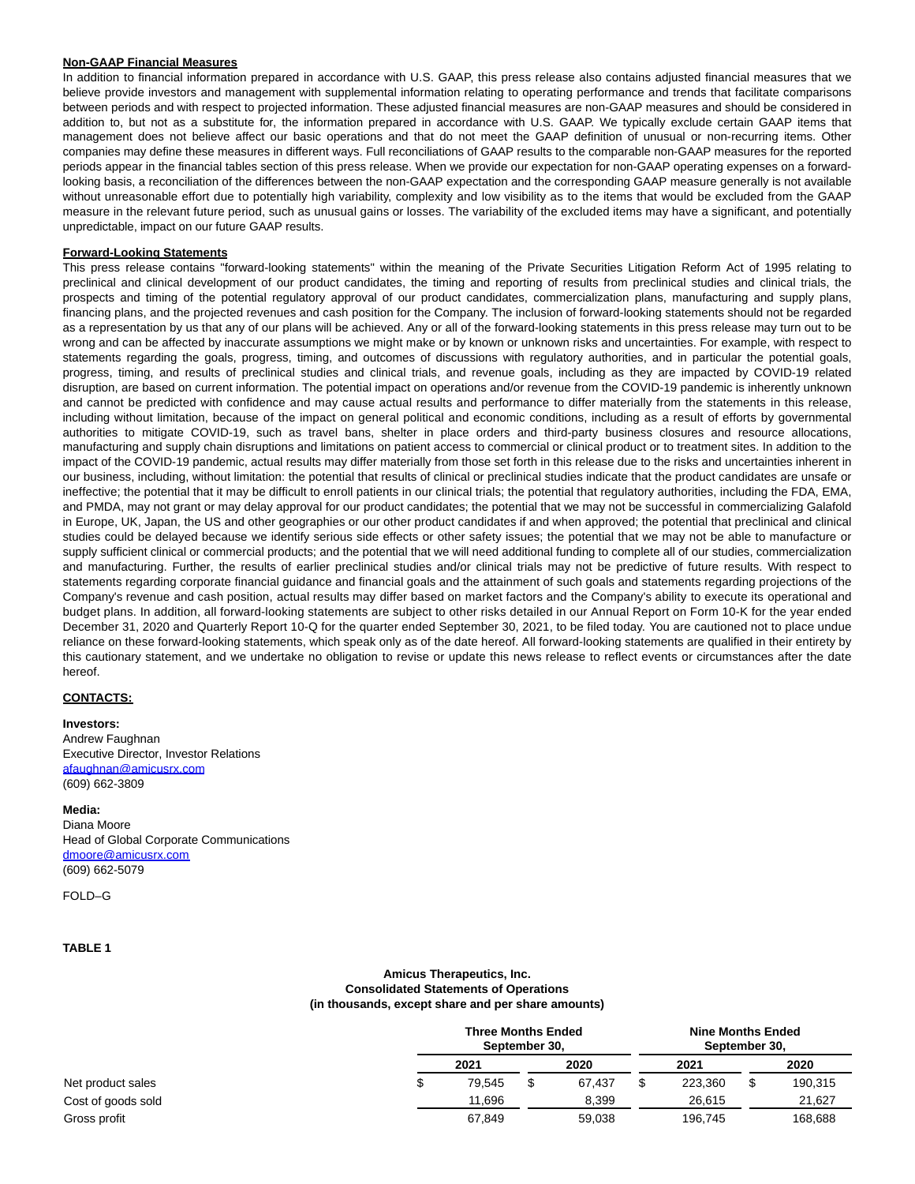#### **Non-GAAP Financial Measures**

In addition to financial information prepared in accordance with U.S. GAAP, this press release also contains adjusted financial measures that we believe provide investors and management with supplemental information relating to operating performance and trends that facilitate comparisons between periods and with respect to projected information. These adjusted financial measures are non-GAAP measures and should be considered in addition to, but not as a substitute for, the information prepared in accordance with U.S. GAAP. We typically exclude certain GAAP items that management does not believe affect our basic operations and that do not meet the GAAP definition of unusual or non-recurring items. Other companies may define these measures in different ways. Full reconciliations of GAAP results to the comparable non-GAAP measures for the reported periods appear in the financial tables section of this press release. When we provide our expectation for non-GAAP operating expenses on a forwardlooking basis, a reconciliation of the differences between the non-GAAP expectation and the corresponding GAAP measure generally is not available without unreasonable effort due to potentially high variability, complexity and low visibility as to the items that would be excluded from the GAAP measure in the relevant future period, such as unusual gains or losses. The variability of the excluded items may have a significant, and potentially unpredictable, impact on our future GAAP results.

### **Forward-Looking Statements**

This press release contains "forward-looking statements" within the meaning of the Private Securities Litigation Reform Act of 1995 relating to preclinical and clinical development of our product candidates, the timing and reporting of results from preclinical studies and clinical trials, the prospects and timing of the potential regulatory approval of our product candidates, commercialization plans, manufacturing and supply plans, financing plans, and the projected revenues and cash position for the Company. The inclusion of forward-looking statements should not be regarded as a representation by us that any of our plans will be achieved. Any or all of the forward-looking statements in this press release may turn out to be wrong and can be affected by inaccurate assumptions we might make or by known or unknown risks and uncertainties. For example, with respect to statements regarding the goals, progress, timing, and outcomes of discussions with regulatory authorities, and in particular the potential goals, progress, timing, and results of preclinical studies and clinical trials, and revenue goals, including as they are impacted by COVID-19 related disruption, are based on current information. The potential impact on operations and/or revenue from the COVID-19 pandemic is inherently unknown and cannot be predicted with confidence and may cause actual results and performance to differ materially from the statements in this release, including without limitation, because of the impact on general political and economic conditions, including as a result of efforts by governmental authorities to mitigate COVID-19, such as travel bans, shelter in place orders and third-party business closures and resource allocations, manufacturing and supply chain disruptions and limitations on patient access to commercial or clinical product or to treatment sites. In addition to the impact of the COVID-19 pandemic, actual results may differ materially from those set forth in this release due to the risks and uncertainties inherent in our business, including, without limitation: the potential that results of clinical or preclinical studies indicate that the product candidates are unsafe or ineffective; the potential that it may be difficult to enroll patients in our clinical trials; the potential that regulatory authorities, including the FDA, EMA, and PMDA, may not grant or may delay approval for our product candidates; the potential that we may not be successful in commercializing Galafold in Europe, UK, Japan, the US and other geographies or our other product candidates if and when approved; the potential that preclinical and clinical studies could be delayed because we identify serious side effects or other safety issues; the potential that we may not be able to manufacture or supply sufficient clinical or commercial products; and the potential that we will need additional funding to complete all of our studies, commercialization and manufacturing. Further, the results of earlier preclinical studies and/or clinical trials may not be predictive of future results. With respect to statements regarding corporate financial guidance and financial goals and the attainment of such goals and statements regarding projections of the Company's revenue and cash position, actual results may differ based on market factors and the Company's ability to execute its operational and budget plans. In addition, all forward-looking statements are subject to other risks detailed in our Annual Report on Form 10-K for the year ended December 31, 2020 and Quarterly Report 10-Q for the quarter ended September 30, 2021, to be filed today. You are cautioned not to place undue reliance on these forward-looking statements, which speak only as of the date hereof. All forward-looking statements are qualified in their entirety by this cautionary statement, and we undertake no obligation to revise or update this news release to reflect events or circumstances after the date hereof.

#### **CONTACTS:**

**Investors:**

Andrew Faughnan Executive Director, Investor Relations [afaughnan@amicusrx.com](https://www.globenewswire.com/Tracker?data=sgua5xl_h_DAnmAesiTgDvV8jCQqurQjpm-FJvwwdrFqeUyYDpI-VJ4PENztUe7bgNg04oTGzpCYc-1pu3eBmXHiKHlqlK6Wh-PWxHRHEsQ=) (609) 662-3809

#### **Media:**

Diana Moore Head of Global Corporate Communications [dmoore@amicusrx.com](https://www.globenewswire.com/Tracker?data=jsaOPCFRVWGzdTPmFJZNvqVIpw5T4TIWNl5F9MmliUJnLki4rLN_dFqBAWC_SmZxX7lN4BAsVwaUKFbQf9RSIMpGQDmniYTHGYE6tCQZCbQ=) (609) 662-5079

FOLD–G

## **TABLE 1**

## **Amicus Therapeutics, Inc. Consolidated Statements of Operations (in thousands, except share and per share amounts)**

|                    |  | <b>Three Months Ended</b><br>September 30, |      |        |      | <b>Nine Months Ended</b><br>September 30, |      |         |  |  |
|--------------------|--|--------------------------------------------|------|--------|------|-------------------------------------------|------|---------|--|--|
|                    |  | 2021                                       | 2020 |        | 2021 |                                           | 2020 |         |  |  |
| Net product sales  |  | 79.545                                     | S    | 67.437 |      | 223.360                                   |      | 190,315 |  |  |
| Cost of goods sold |  | 11.696                                     |      | 8,399  |      | 26.615                                    |      | 21,627  |  |  |
| Gross profit       |  | 67,849                                     |      | 59,038 |      | 196,745                                   |      | 168,688 |  |  |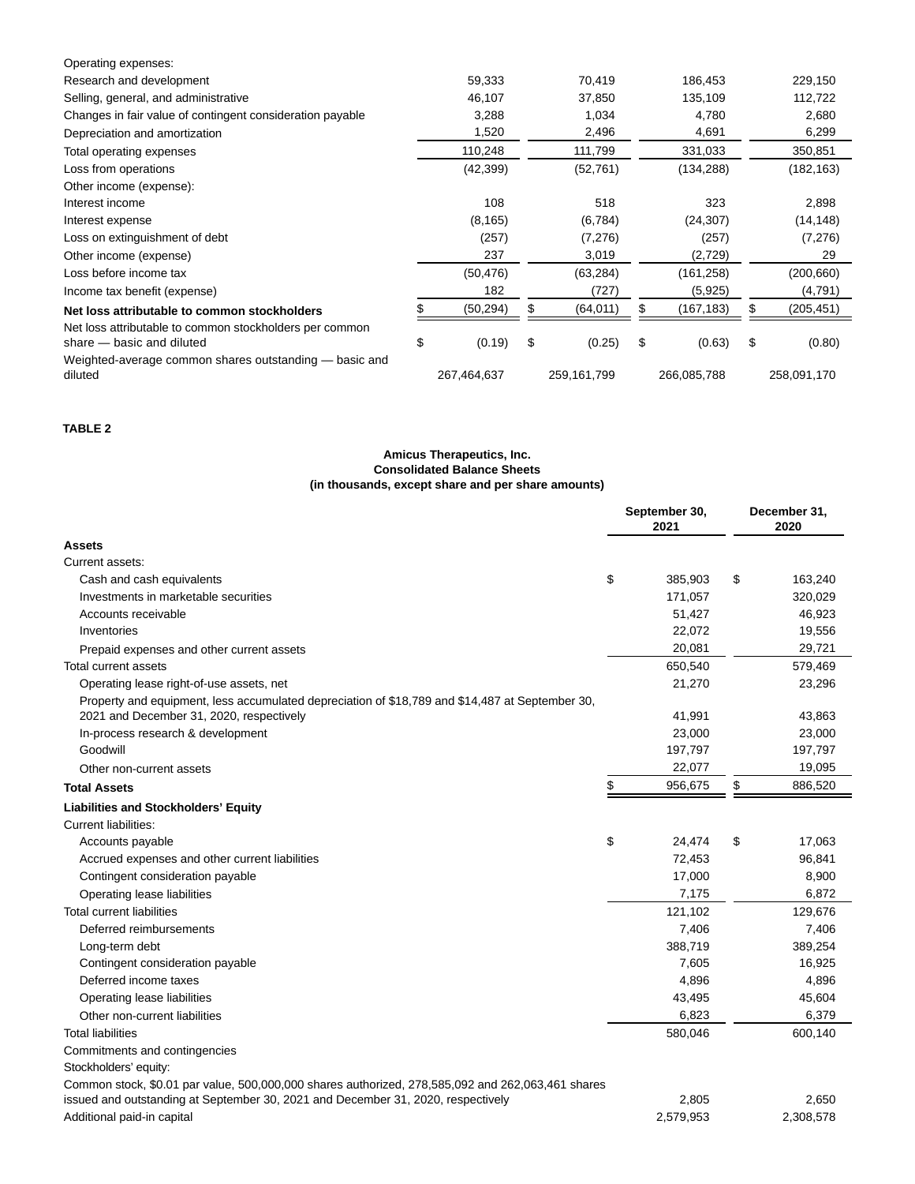| Operating expenses:                                                                  |           |             |    |             |         |             |       |             |
|--------------------------------------------------------------------------------------|-----------|-------------|----|-------------|---------|-------------|-------|-------------|
| Research and development                                                             |           | 59,333      |    | 70,419      | 186,453 |             |       | 229,150     |
| Selling, general, and administrative                                                 | 46,107    |             |    | 37,850      |         | 135,109     |       | 112,722     |
| Changes in fair value of contingent consideration payable                            | 3,288     |             |    | 1,034       | 4,780   |             | 2,680 |             |
| Depreciation and amortization                                                        |           | 1,520       |    | 2,496       |         | 4,691       |       | 6,299       |
| Total operating expenses                                                             |           | 110,248     |    | 111,799     |         | 331,033     |       | 350,851     |
| Loss from operations                                                                 |           | (42, 399)   |    | (52, 761)   |         | (134, 288)  |       | (182, 163)  |
| Other income (expense):                                                              |           |             |    |             |         |             |       |             |
| Interest income                                                                      | 108       |             |    | 518         |         | 323         |       | 2,898       |
| Interest expense                                                                     | (8, 165)  |             |    | (6,784)     |         | (24, 307)   |       | (14, 148)   |
| Loss on extinguishment of debt                                                       | (257)     |             |    | (7,276)     |         | (257)       |       | (7, 276)    |
| Other income (expense)                                                               |           | 237         |    | 3,019       |         | (2,729)     |       | 29          |
| Loss before income tax                                                               | (50, 476) |             |    | (63, 284)   |         | (161, 258)  |       | (200, 660)  |
| Income tax benefit (expense)                                                         |           | 182         |    | (727)       |         | (5,925)     |       | (4,791)     |
| Net loss attributable to common stockholders                                         |           | (50,294)    |    | (64, 011)   |         | (167,183)   |       | (205, 451)  |
| Net loss attributable to common stockholders per common<br>share – basic and diluted | \$        | (0.19)      | \$ | (0.25)      | \$      | (0.63)      | \$    | (0.80)      |
| Weighted-average common shares outstanding — basic and<br>diluted                    |           | 267,464,637 |    | 259,161,799 |         | 266,085,788 |       | 258,091,170 |

# **TABLE 2**

## **Amicus Therapeutics, Inc. Consolidated Balance Sheets (in thousands, except share and per share amounts)**

|                                                                                                   | September 30,<br>2021 |    | December 31,<br>2020 |
|---------------------------------------------------------------------------------------------------|-----------------------|----|----------------------|
| <b>Assets</b>                                                                                     |                       |    |                      |
| Current assets:                                                                                   |                       |    |                      |
| Cash and cash equivalents                                                                         | \$<br>385,903         | \$ | 163,240              |
| Investments in marketable securities                                                              | 171,057               |    | 320,029              |
| Accounts receivable                                                                               | 51,427                |    | 46,923               |
| Inventories                                                                                       | 22,072                |    | 19,556               |
| Prepaid expenses and other current assets                                                         | 20,081                |    | 29,721               |
| Total current assets                                                                              | 650,540               |    | 579,469              |
| Operating lease right-of-use assets, net                                                          | 21,270                |    | 23,296               |
| Property and equipment, less accumulated depreciation of \$18,789 and \$14,487 at September 30,   |                       |    |                      |
| 2021 and December 31, 2020, respectively                                                          | 41,991                |    | 43,863               |
| In-process research & development                                                                 | 23,000                |    | 23,000               |
| Goodwill                                                                                          | 197,797               |    | 197,797              |
| Other non-current assets                                                                          | 22,077                |    | 19,095               |
| <b>Total Assets</b>                                                                               | \$<br>956,675         | \$ | 886,520              |
| <b>Liabilities and Stockholders' Equity</b>                                                       |                       |    |                      |
| Current liabilities:                                                                              |                       |    |                      |
| Accounts payable                                                                                  | \$<br>24,474          | \$ | 17,063               |
| Accrued expenses and other current liabilities                                                    | 72,453                |    | 96,841               |
| Contingent consideration payable                                                                  | 17,000                |    | 8,900                |
| Operating lease liabilities                                                                       | 7,175                 |    | 6,872                |
| <b>Total current liabilities</b>                                                                  | 121,102               |    | 129,676              |
| Deferred reimbursements                                                                           | 7,406                 |    | 7,406                |
| Long-term debt                                                                                    | 388,719               |    | 389,254              |
| Contingent consideration payable                                                                  | 7,605                 |    | 16,925               |
| Deferred income taxes                                                                             | 4,896                 |    | 4,896                |
| Operating lease liabilities                                                                       | 43,495                |    | 45,604               |
| Other non-current liabilities                                                                     | 6,823                 |    | 6,379                |
| <b>Total liabilities</b>                                                                          | 580,046               |    | 600,140              |
| Commitments and contingencies                                                                     |                       |    |                      |
| Stockholders' equity:                                                                             |                       |    |                      |
| Common stock, \$0.01 par value, 500,000,000 shares authorized, 278,585,092 and 262,063,461 shares |                       |    |                      |
| issued and outstanding at September 30, 2021 and December 31, 2020, respectively                  | 2,805                 |    | 2,650                |
| Additional paid-in capital                                                                        | 2,579,953             |    | 2,308,578            |